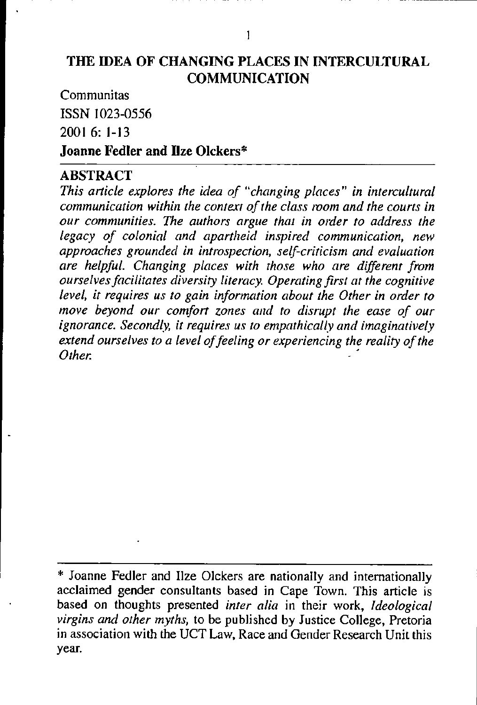#### **THE IDEA OF CHANGING PLACES IN INTERCULTURAL COMMUNICATION**

Communitas ISSN 1023-0556 2001 6: **1-13 Joanne Fedler and Ilze Olckers\*** 

#### **ABSTRACT**

*This article explores the idea of "changing places" in intercultural communication within the context of the class room and the courts in our communities. The authors argue that in order to address the legacy of colonial and apartheid inspired communication, new*  approaches grounded in introspection, self-criticism and evaluation *are helpful. Changing places with those who are different from ourselves facilitates diversity literacy. Operating first at the cognitive level, it requires us to gain information about the Other in order to move beyond our comfort zones and to disrupt the ease of our ignorance. Secondly, it requires us to empathically and imaginatively extend ourselves to a level of feeling or experiencing the reality of the Other. Community of the community of the community of the community of the community of the community of the community of the community of the community of the community of the community of the community of the communi* 

<sup>\*</sup> Joanne Fedler and Ilze Olckers are nationally and internationally acclaimed gender consultants based in Cape Town. This article is based on thoughts presented *inter alia* in their work, *Ideological virgins and other myths,* to be published by Justice College, Pretoria **in** association with the UCT Law, Race and Gender Research Unit this year.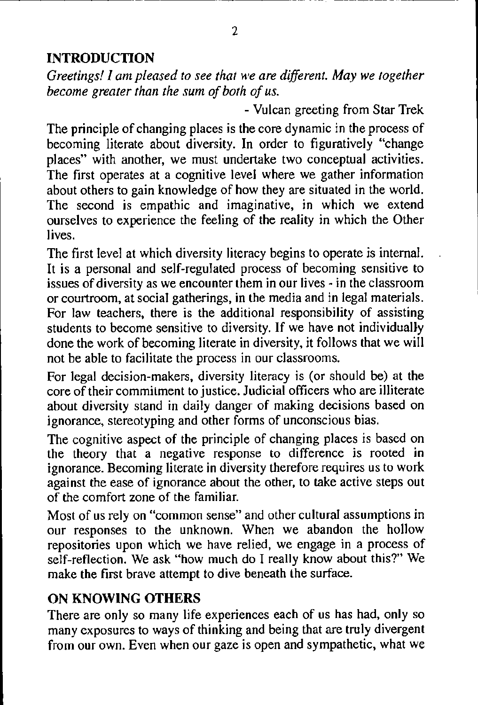# **INTRODUCTION**

*Greetings! I am pleased to see that we are different. May we together become greater than the sum of both of us.* 

- Vulcan greeting from Star Trek

The principle of changing places is the core dynamic in the process of becoming literate about diversity. In order to figuratively "change places" with another, we must undertake two conceptual activities. The first operates at a cognitive level where we gather information about others to gain knowledge of how they are situated in the world. The second is empathic and imaginative, in which we extend ourselves to experience the feeling of the reality in which the Other lives.

The first level at which diversity literacy begins to operate is internal. It is a personal and self-regulated process of becoming sensitive to issues of diversity as we encounter them in our lives - in the classroom or courtroom, at social gatherings, in the media and in legal materials. For law teachers, there is the additional responsibility of assisting students to become sensitive to diversity. If we have not individually done the work of becoming literate in diversity, it follows that we will not be able to facilitate the process in our classrooms.

For legal decision-makers, diversity literacy is (or should be) at the core of their commitment to justice. Judicial officers who are illiterate about diversity stand in daily danger of making decisions based on ignorance, stereotyping and other forms of unconscious bias.

The cognitive aspect of the principle of changing places is based on the theory that a negative response to difference is rooted in ignorance. Becoming literate **in** diversity therefore requires us to work against the ease of ignorance about the other, to take active steps out of the comfort zone of the familiar.

Most of us rely on "common sense" and other cultural assumptions in our responses to the unknown. When we abandon the hollow repositories upon which we have relied, we engage in a process of self-reflection. We ask "how much do I really know about this?" We make the first brave attempt to dive beneath the surface.

## **ON KNOWING OTHERS**

There are only so many life experiences each of us has had, only so many exposures to ways of thinking and being that are truly divergent from our own. Even when our gaze is open and sympathetic, what we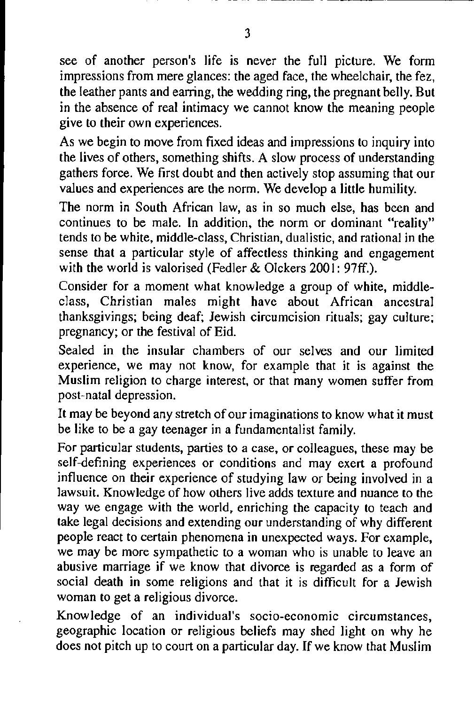see of another person's life is never the full picture. We fonn impressions from mere glances: the aged face, the wheelchair, the fez, the leather pants and earring, the wedding ring, the pregnant belly. But in the absence of real intimacy we cannot know the meaning people give to their own experiences.

As we begin to move from fixed ideas and impressions to inquiry into the lives of others, something shifts. A slow process of understanding gathers force. We first doubt and then actively stop assuming that our values and experiences are the norm. We develop a little humility.

The norm in South African law, as in so much else, has been and continues to be male. In addition, the norm or dominant "reality" tends to be white, middle-class, Christian, dualistic, and rational in the sense that a particular style of affectless thinking and engagement with the world is valorised (Fedler & Olckers 2001: 97ff.).

Consider for a moment what knowledge a group of white, middleclass, Christian males might have about African ancestral thanksgivings; being deaf; Jewish circumcision rituals; gay culture; pregnancy; or the festival of Eid.

Sealed in the insular chambers of our selves and our limited experience, we may not know, for example that it is against the Muslim religion to charge interest, or that many women suffer from post-natal depression.

It may be beyond any stretch of our imaginations to know what it must be like to be a gay teenager in a fundamentalist family.

For particular students, parties to a case, or colleagues, these may be self-defining experiences or conditions and may exert a profound influence on their experience of studying law or being involved in a lawsuit. Knowledge of how others live adds texture and nuance to the way we engage with the world, enriching the capacity to teach and take legal decisions and extending our understanding of why different people react to certain phenomena in unexpected ways. For example, we may be more sympathetic to a woman who is unable to leave an abusive marriage if we know that divorce is regarded as a form of social death in some religions and that it is difficult for a Jewish woman to get a religious divorce.

Knowledge of an individual's socio-economic circumstances, geographic location or religious beliefs may shed light on why he does not pitch up to court on a particular day. If we know that Muslim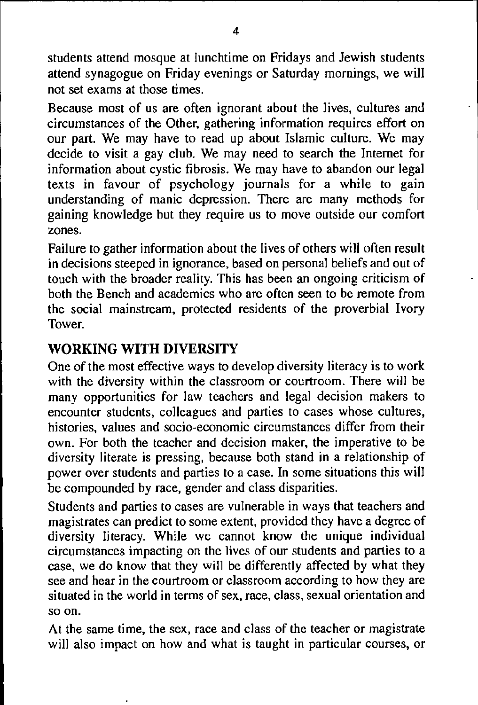students attend mosque at lunchtime on Fridays and Jewish students attend synagogue on Friday evenings or Saturday mornings, we will not set exams at those times.

Because most of us are often ignorant about the Jives, cultures and circumstances of the Other, gathering information requires effort on our part. We may have to read up about Islamic culture. We may decide to visit a gay club. We may need to search the Internet for information about cystic fibrosis. We may have to abandon our legal texts in favour of psychology journals for a while to gain understanding of manic depression. There are many methods for gaining knowledge but they require us to move outside our comfort zones.

Failure to gather information about the lives of others will often result **in** decisions steeped in ignorance, based on personal beliefs and out of touch with the broader reality. This has been an ongoing criticism of both the Bench and academics who are often seen to be remote from the social mainstream, protected residents of the proverbial Ivory **Tower** 

# **WORKING WITH DIVERSITY**

One of the most effective ways to develop diversity literacy is to work with the diversity within the classroom or courtroom. There will be many opportunities for law teachers and legal decision makers to encounter students, colleagues and parties to cases whose cultures, histories, values and socio-economic circumstances differ from their own. For both the teacher and decision maker, the imperative to be diversity literate is pressing, because both stand in a relationship of power over students and parties to a case. In some situations this will be compounded by race, gender and class disparities.

Students and parties to cases are vulnerable in ways that teachers and magistrates can predict to some extent, provided they have a degree of diversity literacy. While we cannot know the unique individual circumstances impacting on the lives of our students and parties to a case, we do know that they will be differently affected by what they see and hear in the courtroom or classroom according to how they are situated in the world in terms of sex, race, class, sexual orientation and **so on.** 

At the same time, the sex, race and class of the teacher or magistrate will also impact on how and what is taught in particular courses, or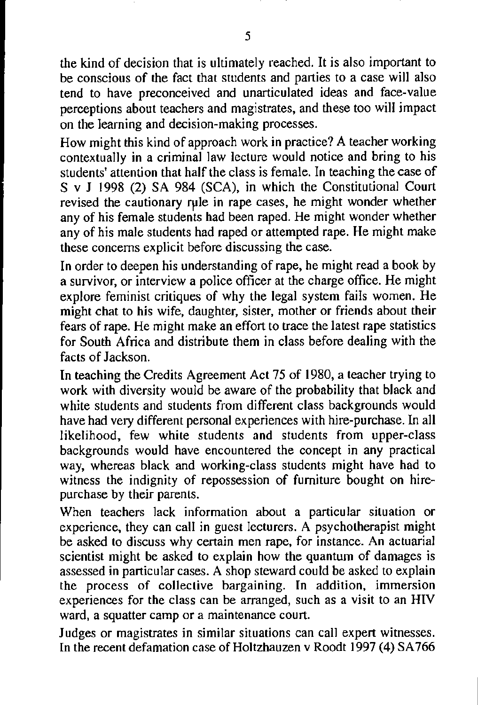the kind of decision that is ultimately reached. It is also important to be conscious of the fact that students and parties to a case will also tend to have preconceived and unarticulated ideas and face-value perceptions about teachers and magistrates, and these too will impact on the learning and decision-making processes.

How might this kind of approach work **in** practice? A teacher working contextually **in** a criminal law lecture would notice and bring to his students' attention that half the class is female. In teaching the case of S v **J** 1998 (2) SA 984 (SCA), in which the Constitutional Court revised the cautionary rule in rape cases, he might wonder whether any of his female students had been raped. He might wonder whether any of his male students had raped or attempted rape. He might make these concerns explicit before discussing the case.

In order to deepen his understanding of rape, he might read a book by a survivor, or interview a police officer at the charge office. He might explore feminist critiques of why the legal system fails women. He might chat to his wife, daughter, sister, mother or friends about their fears of rape. He might make an effort to trace the latest rape statistics for South Africa and distribute them in class before dealing with the facts of Jackson.

In teaching the Credits Agreement Act 75 of 1980, a teacher trying to work with diversity would be aware of the probability that black and white students and students from different class backgrounds would have had very different personal experiences with hire-purchase. In all likelihood, few white students and students from upper-class backgrounds would have encountered the concept in any practical way, whereas black and working-class students might have had to witness the indignity of repossession of furniture bought on hirepurchase by their parents.

When teachers lack information about a particular situation or experience, they can call in guest lecturers. A psychotherapist might be asked to discuss why certain men rape, for instance. An actuarial scientist might be asked to explain how the quantum of damages is assessed **in** particular cases. A shop steward could be asked to explain the process of collective bargaining. In addition, immersion experiences for the class can be arranged, such as a visit to an HIV ward, a squatter camp or a maintenance court.

Judges or magistrates in similar situations can call expert witnesses. In the recent defamation case of Holtzhauzen v Roodt 1997 (4) SA766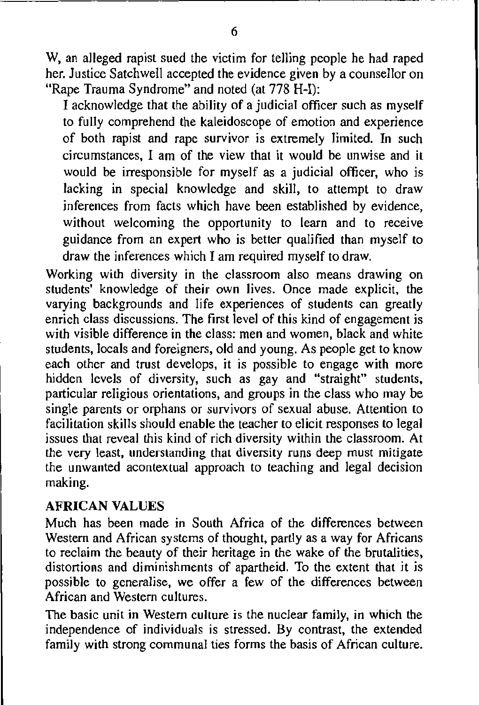W, an alleged rapist sued the victim for telling people he had raped her. Justice Satchwell accepted the evidence given by a counsellor on "Rape Trauma Syndrome" and noted (at 778 H-I):

I acknowledge that the ability of a judicial officer such as myself to fully comprehend the kaleidoscope of emotion and experience of both rapist and rape survivor is extremely limited. **In** such circumstances, I am of the view that it would be unwise and it would be irresponsible for myself as a judicial officer, who is lacking in special knowledge and skill, to attempt to draw inferences from facts which have been established by evidence, without welcoming the opportunity to learn and to receive guidance from an expert who is better qualified than myself to draw the inferences which I am required myself to draw.

Working with diversity in the classroom also means drawing on students' knowledge of their own lives. Once made explicit, the varying backgrounds and life experiences of students can greatly enrich class discussions. The first level of this kind of engagement is with visible difference in the class: men and women, black and white students, locals and foreigners, old and young. As people get to know each other and trust develops, it is possible to engage with more hidden levels of diversity, such as gay and "straight" students, particular religious orientations, and groups in the class who may be single parents or orphans or survivors of sexual abuse. Attention to facilitation skills should enable the teacher to elicit responses to legal issues that reveal this kind of rich diversity within the classroom. At the very least, understanding that diversity runs deep must mitigate the unwanted acontextual approach to teaching and legal decision making.

#### **AFRICAN VALUES**

Much has been made in South Africa of the differences between Western and African systems of thought, partly as a way for Africans to reclaim the beauty of their heritage in the wake of the brutalities, distortions and diminishments of apartheid. To the extent that it is possible to generalise, we offer a few of the differences between African and Western cultures.

The basic unit **in** Western culture is the nuclear family, in which the independence of individuals is stressed. By contrast, the extended family with strong communal ties forms the basis of African culture.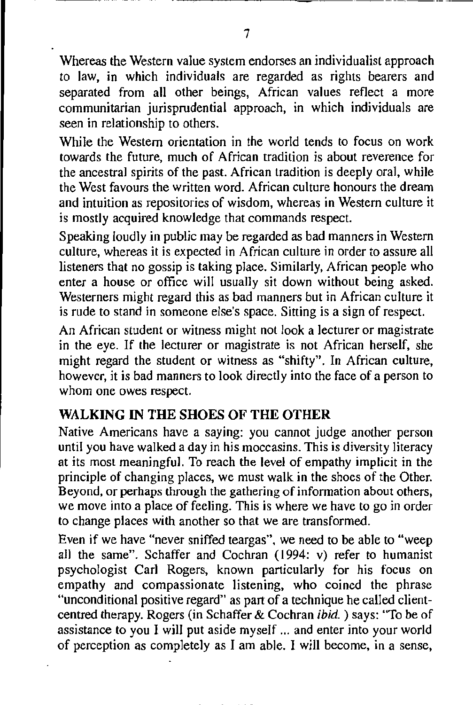Whereas the Western value system endorses an individualist approach to law, in which individuals are regarded as rights bearers and separated from all other beings, African values reflect a more communitarian jurisprudential approach, in which individuals are seen in relationship to others.

While the Western orientation in the world tends to focus on work towards the future, much of African tradition is about reverence for the ancestral spirits of the past. African tradition is deeply oral, while the West favours the written word. African culture honours the dream and intuition as repositories of wisdom, whereas **in** Western culture it is mostly acquired knowledge that commands respect.

Speaking loudly **in** public may be regarded as bad manners in Western culture, whereas it is expected in African culture in order to assure all listeners that no gossip is taking place. Similarly, African people who enter a house or office will usually sit down without being asked. Westerners might regard this as bad manners but in African culture it is rude to stand in someone else's space. Sitting is a sign of respect.

An African student or witness might not look a lecturer or magistrate in the eye. If the lecturer or magistrate is not African herself, she might regard the student or witness as "shifty". In African culture, however, it is bad manners to look directly into the face of a person to whom one owes respect.

### **WALKING IN THE SHOES OF THE OTHER**

Native Americans have a saying: you cannot judge another person until you have walked a day in his moccasins. This is diversity literacy at its most meaningful. To reach the level of empathy implicit in the principle of changing places, we must walk **in** the shoes of the Other. Beyond, or perhaps through the gathering of information about others, we move into a place of feeling. This is where we have to go in order to change places with another so that we are transformed.

Even if we have "never sniffed teargas", we need to be able to "weep all the same". Schaffer and Cochran (1994: v) refer to humanist psychologist Carl Rogers, known particularly for his focus on empathy and compassionate listening, who coined the phrase "unconditional positive regard" as part of a technique he called clientcentred therapy. Rogers (in Schaffer & Cochran ibid. ) says: ''To be of assistance to you I will put aside myself ... and enter into your world of perception as completely as I am able. I will become, in a sense,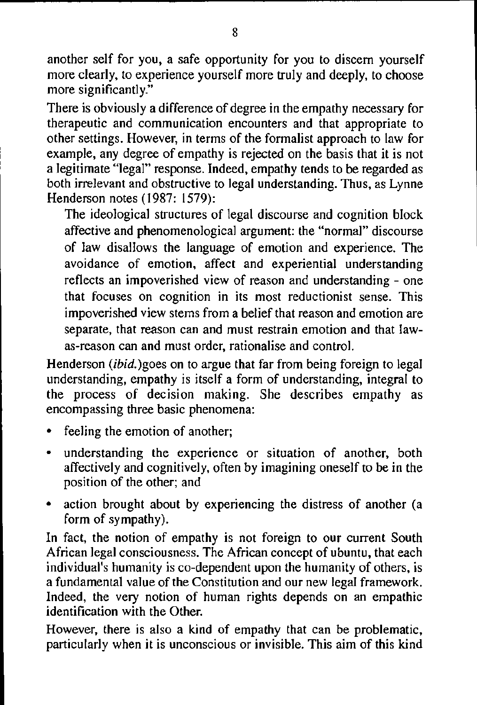another self for you, a safe opportunity for you to discern yourself more clearly, to experience yourself more truly and deeply, to choose more significantly."

There is obviously a difference of degree in the empathy necessary for therapeutic and communication encounters and that appropriate to other settings. However, in terms of the formalist approach to law for example, any degree of empathy is rejected on the basis that it is not a legitimate "legal" response. Indeed, empathy tends to be regarded as both irrelevant and obstructive to legal understanding. Thus, as Lynne Henderson notes (1987: 1579):

The ideological structures of legal discourse and cognition block affective and phenomenological argument: the "normal" discourse of law disallows the language of emotion and experience. The avoidance of emotion, affect and experiential understanding reflects an impoverished view of reason and understanding - one that focuses on cognition in its most reductionist sense. This impoverished view stems from a belief that reason and emotion are separate, that reason can and must restrain emotion and that lawas-reason can and must order, rationalise and control.

Henderson *(ibid.)goes* on to argue that far from being foreign to legal understanding, empathy is itself a form of understanding, integral to the process of decision making. She describes empathy as encompassing three basic phenomena:

- feeling the emotion of another;
- understanding the experience or situation of another, both affectively and cognitively, often by imagining oneself to be in the position of the other; and
- action brought about by experiencing the distress of another (a form of sympathy).

In fact, the notion of empathy is not foreign to our current South African legal consciousness. The African concept of ubuntu, that each individual's humanity is co-dependent upon the humanity of others, is a fundamental value of the Constitution and our new legal framework. Indeed, the very notion of human rights depends on an empathic identification with the Other.

However, there is also a kind of empathy that can be problematic, particularly when it is unconscious or invisible. This aim of this kind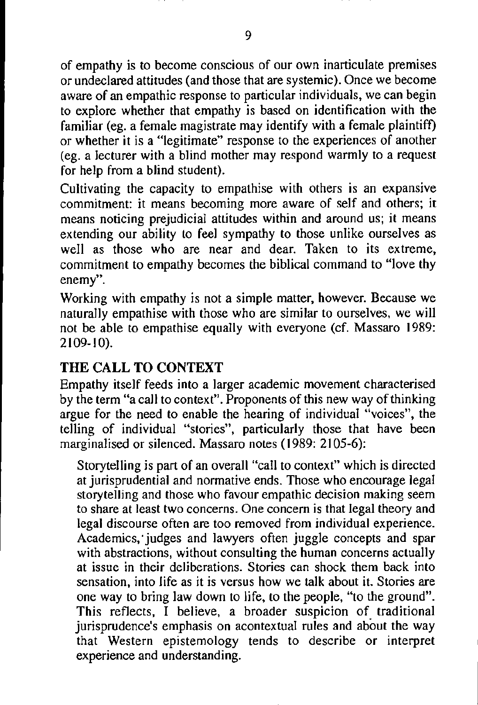of empathy is to become conscious of our own inarticulate premises or undeclared attitudes (and those that are systemic). Once we become aware of an empathic response to particular individuals, we can begin to explore whether that empathy is based on identification with the familiar (eg. a female magistrate may identify with a female plaintiff) or whether it is a "legitimate" response to the experiences of another (eg. a lecturer with a blind mother may respond warmly to a request for help from a blind student).

Cultivating the capacity to empathise with others is an expansive commitment: it means becoming more aware of self and others; it means noticing prejudicial attitudes within and around us; it means extending our ability to feel sympathy to those unlike ourselves as well as those who are near and dear. Taken to its extreme, commitment to empathy becomes the biblical command to "love thy **enemy".** 

Working with empathy is not a simple matter, however. Because we naturally empathise with those who are similar to ourselves, we will not be able to empathise equally with everyone (cf. Massaro 1989: 2109-10).

## **THE CALL TO CONTEXT**

Empathy itself feeds into a larger academic movement characterised by the term "a call to context". Proponents of this new way of thinking argue for the need to enable the hearing of individual "voices", the telling of individual "stories", particularly those that have been marginalised or silenced. Massaro notes ( 1989: 2105-6):

Storytelling is part of an overall "call to context" which is directed at jurisprudential and normative ends. Those who encourage legal storytelling and those who favour empathic decision making seem to share at least two concerns. One concern is that legal theory and legal discourse often are too removed from individual experience. Academics; judges and lawyers often juggle concepts and spar with abstractions, without consulting the human concerns actually at issue in their deliberations. Stories can shock them back into sensation, into life as it is versus how we talk about it. Stories are one way to bring law down to life, to the people, "to the ground". This reflects, I believe, a broader suspicion of traditional jurisprudence's emphasis on acontextual rules and about the way that Western epistemology tends to describe or interpret experience and understanding.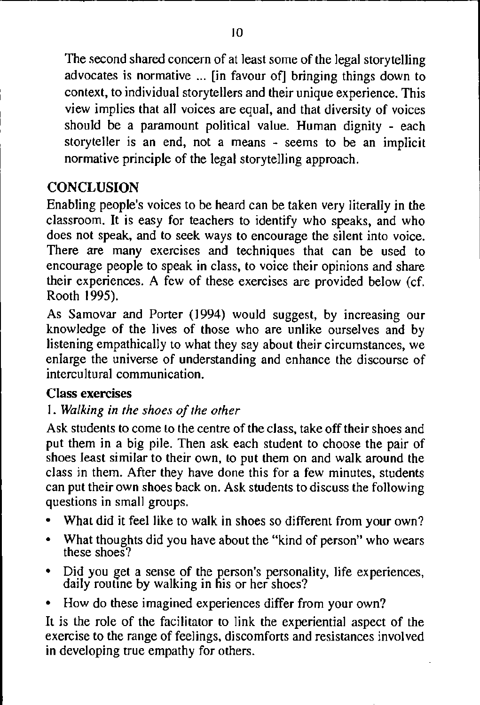The second shared concern of at least some of the legal storytelling advocates is normative ... [in favour of] bringing things down to context, to individual storytellers and their unique experience. This view implies that all voices are equal, and that diversity of voices should be a paramount political value. Human dignity - each storyteller is an end, not a means - seems to be an implicit normative principle of the legal storytelling approach.

# **CONCLUSION**

Enabling people's voices to be heard can be taken very literally *in* the classroom. It is easy for teachers to identify who speaks, and who does not speak, and to seek ways to encourage the silent *into* voice. There are many exercises and techniques that can be used to encourage people to speak *in* class, to voice their opinions and share their experiences. A few of these exercises are provided below (cf. Rooth 1995).

As Samovar and Porter (1994) would suggest, by increasing our knowledge of the lives of those who are unlike ourselves and by listening empathically to what they say about their circumstances, we enlarge the universe of understanding and enhance the discourse of intercultural communication.

## Class exercises

## I. *Walking in the shoes of the other*

Ask students to come to the centre of the class, take off their shoes and put them in a big pile. Then ask each student to choose the pair of shoes least similar to their own, to put them on and walk around the class in them. After they have done this for a few minutes, students can put their own shoes back on. Ask students to discuss the following questions in small groups.

- What did it feel like to walk in shoes so different from your own?
- What thoughts did you have about the "kind of person" who wears these shoes?
- Did you get a sense of the person's personality, life experiences, daily routine by walking in his or her shoes?
- How do these imagined experiences differ from your own?

It is the role of the facilitator to link the experiential aspect of the exercise to the range of feelings, discomforts and resistances involved in developing true empathy for others.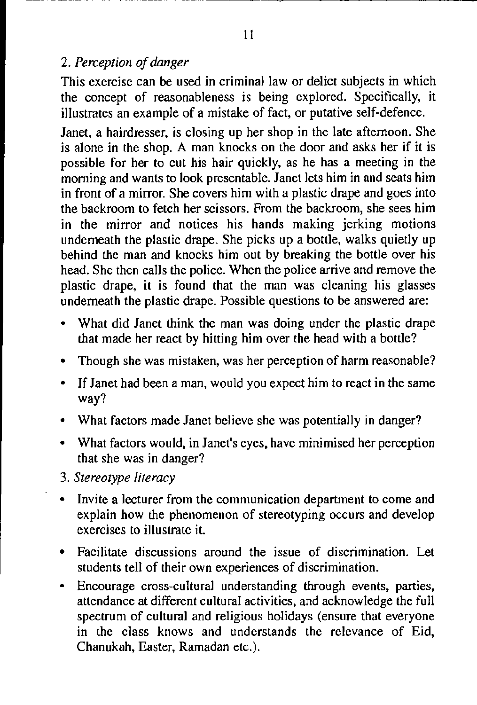### 2. *Perception of danger*

This exercise can be used in criminal law or delict subjects in which the concept of reasonableness is being explored. Specifically, it illustrates an example of a mistake of fact, or putative self-defence.

Janet, a hairdresser, is closing up her shop in the late afternoon. She is alone in the shop. A man knocks on the door and asks her if it is possible for her to cut his hair quickly, as he has a meeting in the morning and wants to look presentable. Janet lets him in and seats him in front of a mirror. She covers him with a plastic drape and goes into the backroom to fetch her scissors. From the backroom, she sees him in the mirror and notices his hands making jerking motions underneath the plastic drape. She picks up a bottle, walks quietly up behind the man and knocks him out by breaking the bottle over his head. She then calls the police. When the police arrive and remove the plastic drape, it is found that the man was cleaning his glasses underneath the plastic drape. Possible questions to be answered are:

- What did Janet think the man was doing under the plastic drape that made her react by hitting him over the head with a bottle?
- Though she was mistaken, was her perception of harm reasonable?
- If Janet had been a man, would you expect him to react in the same way?
- What factors made Janet believe she was potentially in danger?
- What factors would, in Janet's eyes, have minimised her perception that she was in danger?
- 3. *Stereotype literacy*
- Invite a lecturer from the communication department to come and explain how the phenomenon of stereotyping occurs and develop exercises to illustrate it.
- Facilitate discussions around the issue of discrimination. Let students tell of their own experiences of discrimination.
- Encourage cross-cultural understanding through events, parties, attendance at different cultural activities, and acknowledge the full spectrum of cultural and religious holidays (ensure that everyone in the class knows and understands the relevance of Eid, Chanukah, Easter, Ramadan etc.).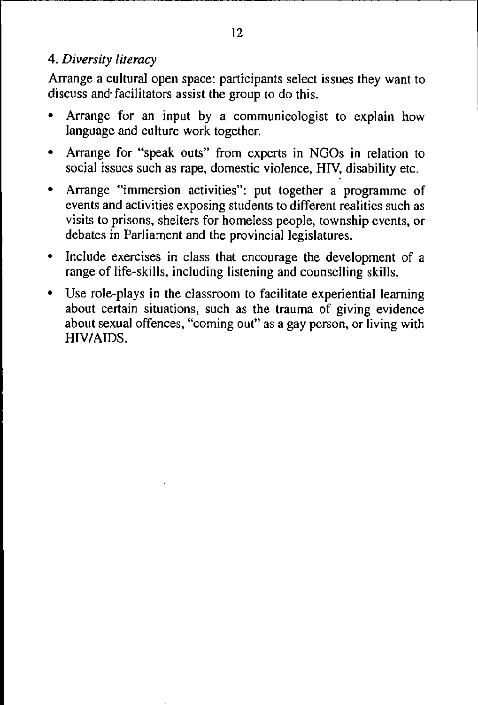#### 4. *Diversity literacy*

Arrange a **cultural** open space: participants select issues they want to discuss and· facilitators assist the group to do this.

- Arrange for an input by a communicologist to explain how language and culture work together.
- Arrange for "speak outs" from experts in NGOs **in** relation to social issues such as rape, domestic violence, HIV, disability etc.
- Arrange "immersion activities": put together a programme of events and activities exposing students to different realities such as visits to prisons, shelters for homeless people, township events, or debates in Parliament and the provincial legislatures.
- Include exercises in class that encourage the development of a range of life-skills, including listening and counselling skills.
- Use role-plays in the classroom to facilitate experiential learning about certain situations, such as the trauma of giving evidence about sexual offences, "coming out" as a gay person, or living with HIV/AIDS.